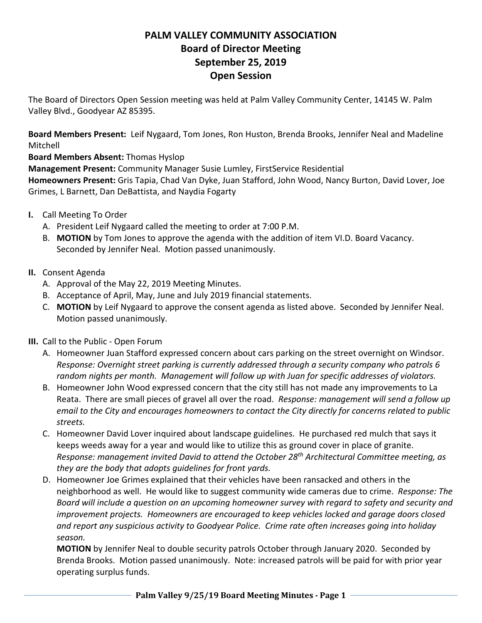## **PALM VALLEY COMMUNITY ASSOCIATION Board of Director Meeting September 25, 2019 Open Session**

The Board of Directors Open Session meeting was held at Palm Valley Community Center, 14145 W. Palm Valley Blvd., Goodyear AZ 85395.

**Board Members Present:** Leif Nygaard, Tom Jones, Ron Huston, Brenda Brooks, Jennifer Neal and Madeline Mitchell

**Board Members Absent:** Thomas Hyslop

**Management Present:** Community Manager Susie Lumley, FirstService Residential

**Homeowners Present:** Gris Tapia, Chad Van Dyke, Juan Stafford, John Wood, Nancy Burton, David Lover, Joe Grimes, L Barnett, Dan DeBattista, and Naydia Fogarty

- **I.** Call Meeting To Order
	- A. President Leif Nygaard called the meeting to order at 7:00 P.M.
	- B. **MOTION** by Tom Jones to approve the agenda with the addition of item VI.D. Board Vacancy. Seconded by Jennifer Neal. Motion passed unanimously.
- **II.** Consent Agenda
	- A. Approval of the May 22, 2019 Meeting Minutes.
	- B. Acceptance of April, May, June and July 2019 financial statements.
	- C. **MOTION** by Leif Nygaard to approve the consent agenda as listed above. Seconded by Jennifer Neal. Motion passed unanimously.
- **III.** Call to the Public Open Forum
	- A. Homeowner Juan Stafford expressed concern about cars parking on the street overnight on Windsor. *Response: Overnight street parking is currently addressed through a security company who patrols 6 random nights per month. Management will follow up with Juan for specific addresses of violators.*
	- B. Homeowner John Wood expressed concern that the city still has not made any improvements to La Reata. There are small pieces of gravel all over the road. *Response: management will send a follow up email to the City and encourages homeowners to contact the City directly for concerns related to public streets.*
	- C. Homeowner David Lover inquired about landscape guidelines. He purchased red mulch that says it keeps weeds away for a year and would like to utilize this as ground cover in place of granite. *Response: management invited David to attend the October 28th Architectural Committee meeting, as they are the body that adopts guidelines for front yards.*
	- D. Homeowner Joe Grimes explained that their vehicles have been ransacked and others in the neighborhood as well. He would like to suggest community wide cameras due to crime. *Response: The Board will include a question on an upcoming homeowner survey with regard to safety and security and improvement projects. Homeowners are encouraged to keep vehicles locked and garage doors closed and report any suspicious activity to Goodyear Police. Crime rate often increases going into holiday season.*

**MOTION** by Jennifer Neal to double security patrols October through January 2020. Seconded by Brenda Brooks. Motion passed unanimously. Note: increased patrols will be paid for with prior year operating surplus funds.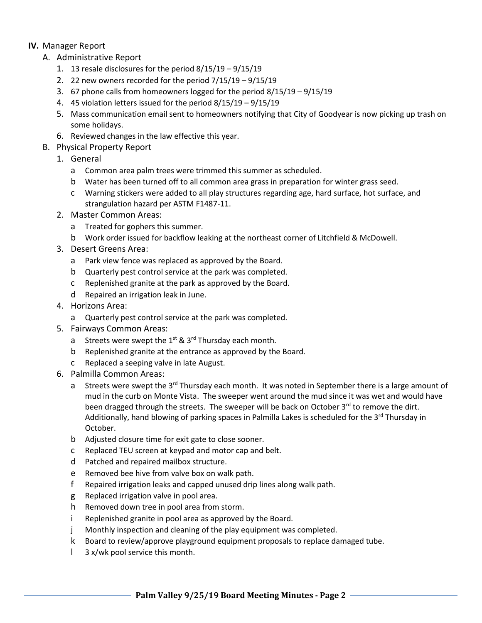## **IV.** Manager Report

- A. Administrative Report
	- 1. 13 resale disclosures for the period 8/15/19 9/15/19
	- 2. 22 new owners recorded for the period 7/15/19 9/15/19
	- 3. 67 phone calls from homeowners logged for the period 8/15/19 9/15/19
	- 4. 45 violation letters issued for the period 8/15/19 9/15/19
	- 5. Mass communication email sent to homeowners notifying that City of Goodyear is now picking up trash on some holidays.
	- 6. Reviewed changes in the law effective this year.
- B. Physical Property Report
	- 1. General
		- a Common area palm trees were trimmed this summer as scheduled.
		- b Water has been turned off to all common area grass in preparation for winter grass seed.
		- c Warning stickers were added to all play structures regarding age, hard surface, hot surface, and strangulation hazard per ASTM F1487-11.
	- 2. Master Common Areas:
		- a Treated for gophers this summer.
		- b Work order issued for backflow leaking at the northeast corner of Litchfield & McDowell.
	- 3. Desert Greens Area:
		- a Park view fence was replaced as approved by the Board.
		- b Quarterly pest control service at the park was completed.
		- c Replenished granite at the park as approved by the Board.
		- d Repaired an irrigation leak in June.
	- 4. Horizons Area:
		- a Quarterly pest control service at the park was completed.
	- 5. Fairways Common Areas:
		- a Streets were swept the  $1^{st}$  &  $3^{rd}$  Thursday each month.
		- b Replenished granite at the entrance as approved by the Board.
		- c Replaced a seeping valve in late August.
	- 6. Palmilla Common Areas:
		- a Streets were swept the 3<sup>rd</sup> Thursday each month. It was noted in September there is a large amount of mud in the curb on Monte Vista. The sweeper went around the mud since it was wet and would have been dragged through the streets. The sweeper will be back on October  $3^{rd}$  to remove the dirt. Additionally, hand blowing of parking spaces in Palmilla Lakes is scheduled for the 3<sup>rd</sup> Thursday in October.
		- b Adjusted closure time for exit gate to close sooner.
		- c Replaced TEU screen at keypad and motor cap and belt.
		- d Patched and repaired mailbox structure.
		- e Removed bee hive from valve box on walk path.
		- f Repaired irrigation leaks and capped unused drip lines along walk path.
		- g Replaced irrigation valve in pool area.
		- h Removed down tree in pool area from storm.
		- i Replenished granite in pool area as approved by the Board.
		- j Monthly inspection and cleaning of the play equipment was completed.
		- k Board to review/approve playground equipment proposals to replace damaged tube.
		- l 3 x/wk pool service this month.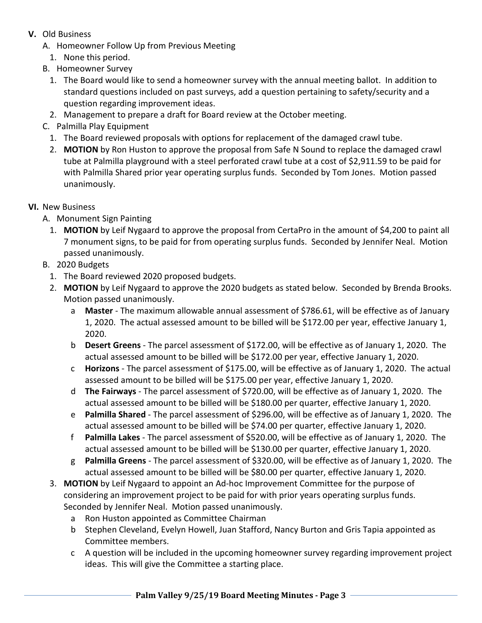- **V.** Old Business
	- A. Homeowner Follow Up from Previous Meeting
		- 1. None this period.
	- B. Homeowner Survey
		- 1. The Board would like to send a homeowner survey with the annual meeting ballot. In addition to standard questions included on past surveys, add a question pertaining to safety/security and a question regarding improvement ideas.
		- 2. Management to prepare a draft for Board review at the October meeting.
	- C. Palmilla Play Equipment
		- 1. The Board reviewed proposals with options for replacement of the damaged crawl tube.
		- 2. **MOTION** by Ron Huston to approve the proposal from Safe N Sound to replace the damaged crawl tube at Palmilla playground with a steel perforated crawl tube at a cost of \$2,911.59 to be paid for with Palmilla Shared prior year operating surplus funds. Seconded by Tom Jones. Motion passed unanimously.
- **VI.** New Business
	- A. Monument Sign Painting
		- 1. **MOTION** by Leif Nygaard to approve the proposal from CertaPro in the amount of \$4,200 to paint all 7 monument signs, to be paid for from operating surplus funds. Seconded by Jennifer Neal. Motion passed unanimously.
	- B. 2020 Budgets
		- 1. The Board reviewed 2020 proposed budgets.
		- 2. **MOTION** by Leif Nygaard to approve the 2020 budgets as stated below. Seconded by Brenda Brooks. Motion passed unanimously.
			- a **Master** The maximum allowable annual assessment of \$786.61, will be effective as of January 1, 2020. The actual assessed amount to be billed will be \$172.00 per year, effective January 1, 2020.
			- b **Desert Greens** The parcel assessment of \$172.00, will be effective as of January 1, 2020. The actual assessed amount to be billed will be \$172.00 per year, effective January 1, 2020.
			- c **Horizons** The parcel assessment of \$175.00, will be effective as of January 1, 2020. The actual assessed amount to be billed will be \$175.00 per year, effective January 1, 2020.
			- d **The Fairways** The parcel assessment of \$720.00, will be effective as of January 1, 2020. The actual assessed amount to be billed will be \$180.00 per quarter, effective January 1, 2020.
			- e **Palmilla Shared** The parcel assessment of \$296.00, will be effective as of January 1, 2020. The actual assessed amount to be billed will be \$74.00 per quarter, effective January 1, 2020.
			- f **Palmilla Lakes** The parcel assessment of \$520.00, will be effective as of January 1, 2020. The actual assessed amount to be billed will be \$130.00 per quarter, effective January 1, 2020.
			- g **Palmilla Greens** The parcel assessment of \$320.00, will be effective as of January 1, 2020. The actual assessed amount to be billed will be \$80.00 per quarter, effective January 1, 2020.
		- 3. **MOTION** by Leif Nygaard to appoint an Ad-hoc Improvement Committee for the purpose of considering an improvement project to be paid for with prior years operating surplus funds. Seconded by Jennifer Neal. Motion passed unanimously.
			- a Ron Huston appointed as Committee Chairman
			- b Stephen Cleveland, Evelyn Howell, Juan Stafford, Nancy Burton and Gris Tapia appointed as Committee members.
			- c A question will be included in the upcoming homeowner survey regarding improvement project ideas. This will give the Committee a starting place.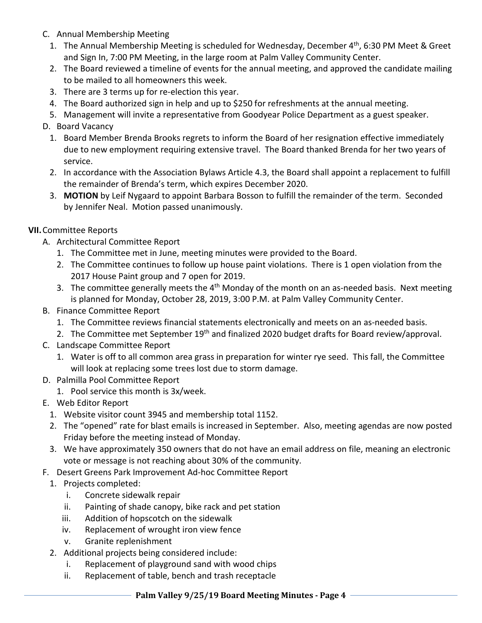- C. Annual Membership Meeting
	- 1. The Annual Membership Meeting is scheduled for Wednesday, December 4<sup>th</sup>, 6:30 PM Meet & Greet and Sign In, 7:00 PM Meeting, in the large room at Palm Valley Community Center.
	- 2. The Board reviewed a timeline of events for the annual meeting, and approved the candidate mailing to be mailed to all homeowners this week.
	- 3. There are 3 terms up for re-election this year.
	- 4. The Board authorized sign in help and up to \$250 for refreshments at the annual meeting.
	- 5. Management will invite a representative from Goodyear Police Department as a guest speaker.
- D. Board Vacancy
	- 1. Board Member Brenda Brooks regrets to inform the Board of her resignation effective immediately due to new employment requiring extensive travel. The Board thanked Brenda for her two years of service.
	- 2. In accordance with the Association Bylaws Article 4.3, the Board shall appoint a replacement to fulfill the remainder of Brenda's term, which expires December 2020.
	- 3. **MOTION** by Leif Nygaard to appoint Barbara Bosson to fulfill the remainder of the term. Seconded by Jennifer Neal. Motion passed unanimously.

## **VII.**Committee Reports

- A. Architectural Committee Report
	- 1. The Committee met in June, meeting minutes were provided to the Board.
	- 2. The Committee continues to follow up house paint violations. There is 1 open violation from the 2017 House Paint group and 7 open for 2019.
	- 3. The committee generally meets the  $4<sup>th</sup>$  Monday of the month on an as-needed basis. Next meeting is planned for Monday, October 28, 2019, 3:00 P.M. at Palm Valley Community Center.
- B. Finance Committee Report
	- 1. The Committee reviews financial statements electronically and meets on an as-needed basis.
	- 2. The Committee met September 19<sup>th</sup> and finalized 2020 budget drafts for Board review/approval.
- C. Landscape Committee Report
	- 1. Water is off to all common area grass in preparation for winter rye seed. This fall, the Committee will look at replacing some trees lost due to storm damage.
- D. Palmilla Pool Committee Report
	- 1. Pool service this month is 3x/week.
- E. Web Editor Report
	- 1. Website visitor count 3945 and membership total 1152.
	- 2. The "opened" rate for blast emails is increased in September. Also, meeting agendas are now posted Friday before the meeting instead of Monday.
	- 3. We have approximately 350 owners that do not have an email address on file, meaning an electronic vote or message is not reaching about 30% of the community.
- F. Desert Greens Park Improvement Ad-hoc Committee Report
	- 1. Projects completed:
		- i. Concrete sidewalk repair
		- ii. Painting of shade canopy, bike rack and pet station
		- iii. Addition of hopscotch on the sidewalk
		- iv. Replacement of wrought iron view fence
		- v. Granite replenishment
	- 2. Additional projects being considered include:
		- i. Replacement of playground sand with wood chips
		- ii. Replacement of table, bench and trash receptacle